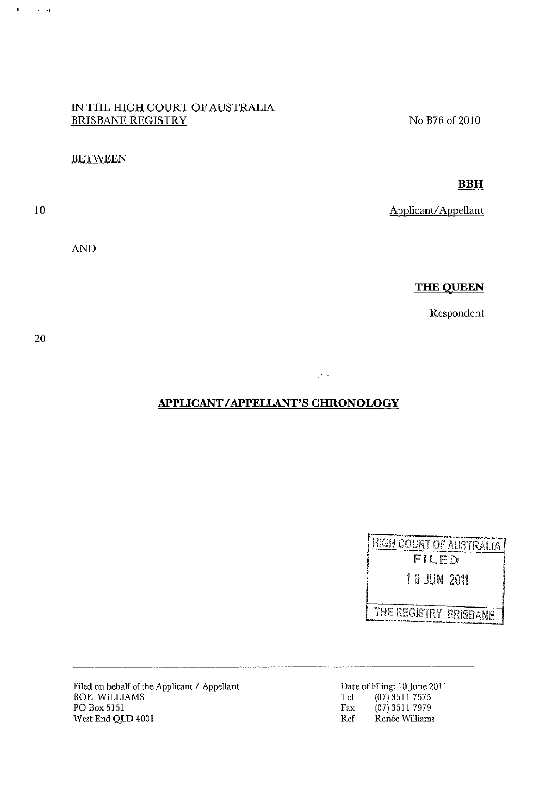### IN THE HIGH COURT OF AUSTRALIA BRISBANE REGISTRY

#### **BETWEEN**

10

 $\mathbf{A}$ 

 $\sim$   $\sim$ 

AND

No B76 of 2010

**BBH** 

Applicant/Appellant

THE QUEEN

Respondent

20

## **APPLICANT I APPELLANT'S CHRONOLOGY**

 $\mathcal{F}^{\mathcal{F}}$ 

**HIGH COURT OF AUSTRALIA** FILED 10 JUN 2011 THE REGISTRY BRISBANE

Filed on behalf of the Applicant / Appellant BOE WILLIAMS PO Box 5151 West End QLD 4001

Date of Filing: 10 June 2011<br>Tel (07) 3511 7575  $(07)$  3511 7575 Fax (07) 3511 7979 **Ref Renee Williams**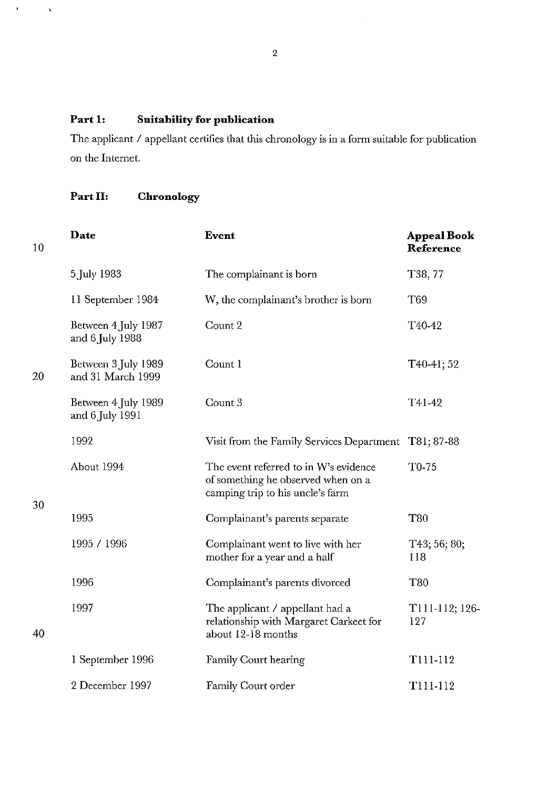### **Part 1: Suitability for publication**

The applicant / appellant certifies that this chronology is in a form suitable for publication on the Internet.

# **Part 11: Chronology**

 $\hat{\mathbf{r}}$ 

 $\bar{\mathbf{v}}$ 

| 10 | Date                                     | Event                                                                                                           | <b>Appeal Book</b><br>Reference |
|----|------------------------------------------|-----------------------------------------------------------------------------------------------------------------|---------------------------------|
|    | 5 July 1983                              | The complainant is born                                                                                         | T38, 77                         |
|    | 11 September 1984                        | W, the complainant's brother is born                                                                            | T69                             |
| 20 | Between 4 July 1987<br>and $6$ July 1988 | Count 2                                                                                                         | T40-42                          |
|    | Between 3 July 1989<br>and 31 March 1999 | Count 1                                                                                                         | $T40-41; 52$                    |
|    | Between 4 July 1989<br>and 6 July 1991   | Count 3                                                                                                         | T41-42                          |
|    | 1992                                     | Visit from the Family Services Department T81; 87-88                                                            |                                 |
| 30 | About 1994                               | The event referred to in W's evidence<br>of something he observed when on a<br>camping trip to his uncle's farm | $T0-75$                         |
|    | 1995                                     | Complainant's parents separate                                                                                  | <b>T80</b>                      |
|    | 1995 / 1996                              | Complainant went to live with her<br>mother for a year and a half                                               | T43; 56; 80;<br>118             |
| 40 | 1996                                     | Complainant's parents divorced                                                                                  | <b>T80</b>                      |
|    | 1997                                     | The applicant / appellant had a<br>relationship with Margaret Carkeet for<br>about 12-18 months                 | T111-112; 126-<br>127           |
|    | 1 September 1996                         | Family Court hearing                                                                                            | T111-112                        |
|    | 2 December 1997                          | Family Court order                                                                                              | T111-112                        |

2

 $\bar{z}$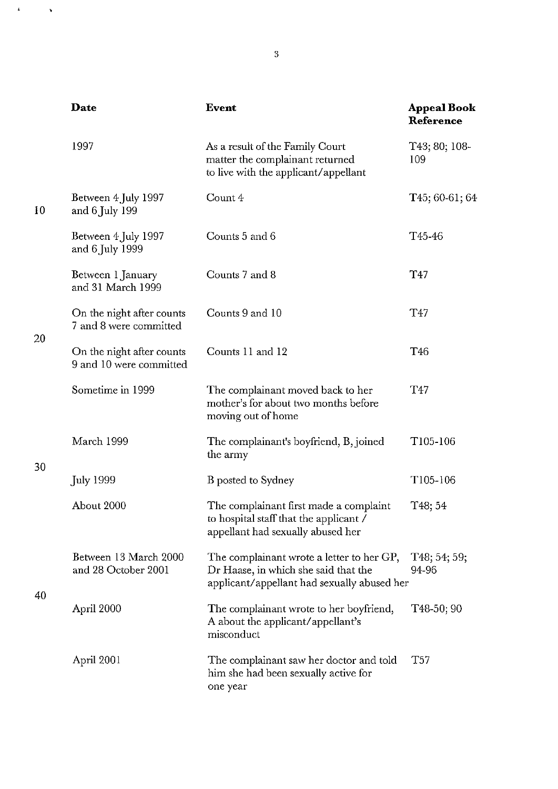|    | Date                                                 | <b>Event</b>                                                                                                                     | <b>Appeal Book</b><br>Reference |
|----|------------------------------------------------------|----------------------------------------------------------------------------------------------------------------------------------|---------------------------------|
|    | 1997                                                 | As a result of the Family Court<br>matter the complainant returned<br>to live with the applicant/appellant                       | T43; 80; 108-<br>109            |
| 10 | Between 4 July 1997<br>and 6 July 199                | Count 4                                                                                                                          | $T45; 60-61; 64$                |
|    | Between 4 July 1997<br>and $6$ July 1999             | Counts 5 and 6                                                                                                                   | T <sub>45</sub> -46             |
| 20 | Between 1 January<br>and 31 March 1999               | Counts 7 and 8                                                                                                                   | T47                             |
|    | On the night after counts<br>7 and 8 were committed  | Counts 9 and 10                                                                                                                  | T47                             |
|    | On the night after counts<br>9 and 10 were committed | Counts 11 and 12                                                                                                                 | T46                             |
|    | Sometime in 1999                                     | The complainant moved back to her<br>mother's for about two months before<br>moving out of home                                  | T47                             |
| 30 | March 1999                                           | The complainant's boyfriend, B, joined<br>the army                                                                               | T105-106                        |
|    | July 1999                                            | B posted to Sydney                                                                                                               | T105-106                        |
|    | About 2000                                           | The complainant first made a complaint<br>to hospital staff that the applicant /<br>appellant had sexually abused her            | T <sub>48</sub> ; 54            |
| 40 | Between 13 March 2000<br>and 28 October 2001         | The complainant wrote a letter to her GP,<br>Dr Haase, in which she said that the<br>applicant/appellant had sexually abused her | T48; 54; 59;<br>94-96           |
|    | April 2000                                           | The complainant wrote to her boyfriend,<br>A about the applicant/appellant's<br>misconduct                                       | T48-50; 90                      |
|    | April 2001                                           | The complainant saw her doctor and told<br>him she had been sexually active for<br>one year                                      | T57                             |

 $\label{eq:2.1} \mathbf{E}(\mathbf{r}) = \mathbf{v}(\mathbf{r})$